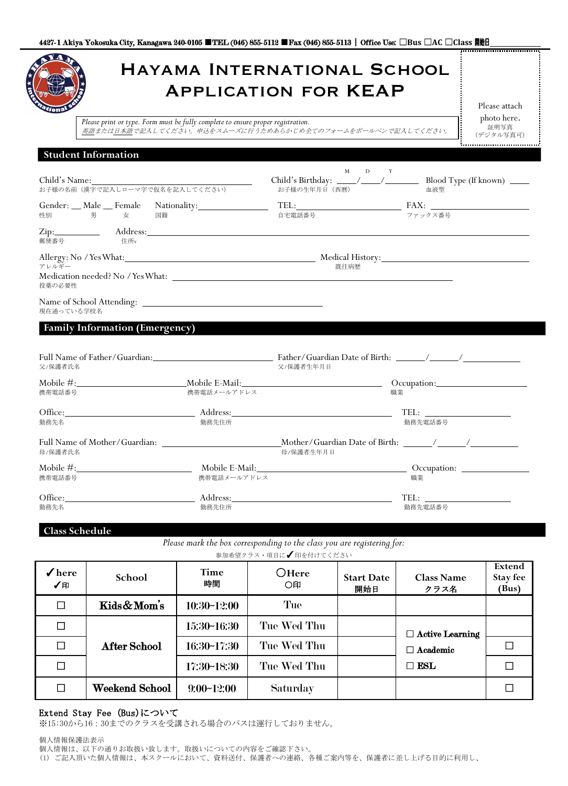|                                                                    | Please print or type. Form must be fully complete to ensure proper registration. |                                                                                               |         | Please attach<br>photo here.<br>証明写真<br>(デジタル写真可) |
|--------------------------------------------------------------------|----------------------------------------------------------------------------------|-----------------------------------------------------------------------------------------------|---------|---------------------------------------------------|
| <b>Student Information</b>                                         |                                                                                  |                                                                                               |         |                                                   |
| Child's Name:<br>お子様の名前(漢字で記入しローマ字で仮名を記入してください)                    |                                                                                  | M D Y<br>Child's Birthday: _____/_____/_________ Blood Type (If known) _____<br>お子様の生年月日 (西暦) | 血液型     |                                                   |
|                                                                    |                                                                                  |                                                                                               |         |                                                   |
| 郵便番号<br>住所v                                                        |                                                                                  |                                                                                               |         |                                                   |
| Allergy: No / Yes What: Medical History: Medical History:<br>アレルギー |                                                                                  | 既往病歴                                                                                          |         |                                                   |
| 投薬の必要性                                                             |                                                                                  |                                                                                               |         |                                                   |
|                                                                    |                                                                                  |                                                                                               |         |                                                   |
| 現在通っている学校名<br><b>Family Information (Emergency)</b><br>父/保護者氏名     |                                                                                  | 父/保護者生年月日                                                                                     |         |                                                   |
| 携帯電話番号                                                             | 携帯電話メールアドレス                                                                      |                                                                                               | 職業      |                                                   |
|                                                                    | 勤務先住所                                                                            |                                                                                               | 勤務先電話番号 |                                                   |
| Office: Address:<br>勤務先名<br>母/保護者氏名                                |                                                                                  | 母/保護者生年月日                                                                                     |         |                                                   |
| 携帯電話番号                                                             | 携帯電話メールアドレス                                                                      | Mobile E-Mail: Comparison: Comparison: Comparison:                                            | 職業      |                                                   |

| $\sqrt{\ }$ here<br>✔印 | School                | Time<br>時間   | OHere<br>○印 | <b>Start Date</b><br>開始日 | <b>Class Name</b><br>クラス名 | Extend<br>Stay fee<br>(Bus) |
|------------------------|-----------------------|--------------|-------------|--------------------------|---------------------------|-----------------------------|
| $\Box$                 | Kids&Mom's            | 10:30~12:00  | Tue         |                          |                           |                             |
|                        |                       | 15:30~16:30  | Tue Wed Thu |                          | $\Box$ Active Learning    |                             |
| $\Box$                 | <b>After School</b>   | 16:30~17:30  | Tue Wed Thu |                          | Academic<br>П.            |                             |
|                        |                       | 17:30~18:30  | Tue Wed Thu |                          | $\square$ ESL             |                             |
| $\Box$                 | <b>Weekend School</b> | $9:00-12:00$ | Saturday    |                          |                           |                             |

# Extend Stay Fee (Bus)について

※15:30から16:30までのクラスを受講される場合のバスは運行しておりません。

個人情報保護法表示

(1) ご記入頂いた個人情報は、本スクールにおいて、資料送付、保護者への連絡、各種ご案内等を、保護者に差し上げる目的に利用し、

個人情報は、以下の通りお取扱い致します。取扱いについての内容をご確認下さい。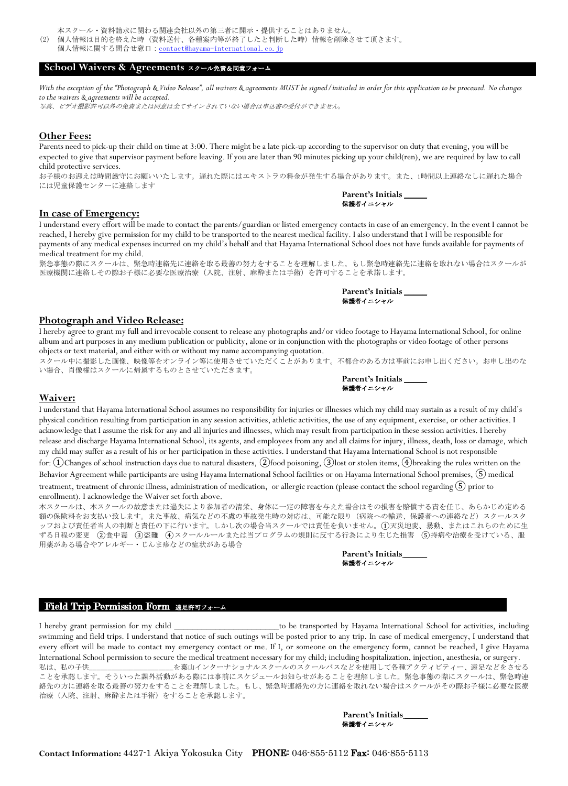- 本スクール・資料請求に関わる関連会社以外の第三者に開示・提供することはありません。
- (2) 個人情報は目的を終えた時(資料送付、各種案内等が終了したと判断した時)情報を削除させて頂きます。
	- 個人情報に関する問合せ窓口: contact@hayama-international.co.jp

## **School Waivers & Agreements** スクール免責&同意フォーム

With the exception of the "Photograph & Video Release", all waivers & agreements MUST be signed/initialed in order for this application to be processed. No changes *to the waivers & agreements will be accepted.*

写真、ビデオ撮影許可以外の免責または同意は全てサインされていない場合は申込書の受付ができません。

#### **Other Fees:**

Parents need to pick-up their child on time at 3:00. There might be a late pick-up according to the supervisor on duty that evening, you will be expected to give that supervisor payment before leaving. If you are later than 90 minutes picking up your child(ren), we are required by law to call child protective services.

お子様のお迎えは時間厳守にお願いいたします。遅れた際にはエキストラの料金が発生する場合があります。また、1時間以上連絡なしに遅れた場合 には児童保護センターに連絡します

#### **In case of Emergency:**

I understand every effort will be made to contact the parents/guardian or listed emergency contacts in case of an emergency. In the event I cannot be reached, I hereby give permission for my child to be transported to the nearest medical facility. I also understand that I will be responsible for payments of any medical expenses incurred on my child's behalf and that Hayama International School does not have funds available for payments of medical treatment for my child.

緊急事態の際にスクールは、緊急時連絡先に連絡を取る最善の努力をすることを理解しました。もし緊急時連絡先に連絡を取れない場合はスクールが 医療機関に連絡しその際お子様に必要な医療治療(入院、注射、麻酔または手術)を許可することを承諾します。

| Parent's Initials |  |
|-------------------|--|
| 保護者イニシャル          |  |

**Parent's Initials \_\_\_\_\_** 保護者イニシャル

#### **Photograph and Video Release:**

I hereby agree to grant my full and irrevocable consent to release any photographs and/or video footage to Hayama International School, for online album and art purposes in any medium publication or publicity, alone or in conjunction with the photographs or video footage of other persons objects or text material, and either with or without my name accompanying quotation.

スクール中に撮影した画像、映像等をオンライン等に使用させていただくことがあります。不都合のある方は事前にお申し出ください。お申し出のな い場合、肖像権はスクールに帰属するものとさせていただきます。

| Parent's Initials |  |
|-------------------|--|
| 保護者イニシャル          |  |

#### **Waiver:**

I understand that Hayama International School assumes no responsibility for injuries or illnesses which my child may sustain as a result of my child's physical condition resulting from participation in any session activities, athletic activities, the use of any equipment, exercise, or other activities. I acknowledge that I assume the risk for any and all injuries and illnesses, which may result from participation in these session activities. I hereby release and discharge Hayama International School, its agents, and employees from any and all claims for injury, illness, death, loss or damage, which my child may suffer as a result of his or her participation in these activities. I understand that Hayama International School is not responsible for: (1)Changes of school instruction days due to natural disasters, (2)food poisoning, (3)lost or stolen items, (4)breaking the rules written on the Behavior Agreement while participants are using Hayama International School facilities or on Hayama International School premises,  $(5)$  medical treatment, treatment of chronic illness, administration of medication, or allergic reaction (please contact the school regarding  $(5)$  prior to enrollment). I acknowledge the Waiver set forth above.

本スクールは、本スクールの故意または過失により参加者の清栄、身体に一定の障害を与えた場合はその損害を賠償する責を任じ、あらかじめ定める 額の保険料をお支払い致します。また事故、病気などの不慮の事故発生時の対応は、可能な限り(病院への輸送、保護者への連絡など)スクールスタ ッフおよび責任者当人の判断と責任の下に行います。しかし次の場合当スクールでは責任を負いません。①天災地変、暴動、またはこれらのために生 ずる日程の変更 ②食中毒 ③盗難 ④スクールルールまたは当プログラムの規則に反する行為により生じた損害 ⑤持病や治療を受けている、服 用薬がある場合やアレルギー・じんま疹などの症状がある場合

> **Parent's Initials \_\_\_\_\_** 保護者イニシャル

### Field Trip Permission Form 遠足許可フォーム

I hereby grant permission for my child \_\_\_\_\_\_\_\_\_\_\_\_\_\_\_\_\_\_\_\_\_\_\_to be transported by Hayama International School for activities, including swimming and field trips. I understand that notice of such outings will be posted prior to any trip. In case of medical emergency, I understand that every effort will be made to contact my emergency contact or me. If I, or someone on the emergency form, cannot be reached, I give Hayama International School permission to secure the medical treatment necessary for my child; including hospitalization, injection, anesthesia, or surgery. 私は、私の子供\_\_\_\_\_\_\_\_\_\_\_\_\_\_\_\_\_\_\_\_\_\_\_を葉山インターナショナルスクールのスクールバスなどを使用して各種アクティビティー、遠足などをさせる ことを承認します。そういった課外活動がある際には事前にスケジュールお知らせがあることを理解しました。緊急事態の際にスクールは、緊急時連 絡先の方に連絡を取る最善の努力をすることを理解しました。もし、緊急時連絡先の方に連絡を取れない場合はスクールがその際お子様に必要な医療 治療(入院、注射、麻酔または手術)をすることを承認します。

> **Parent's Initials \_\_\_\_\_** 保護者イニシャル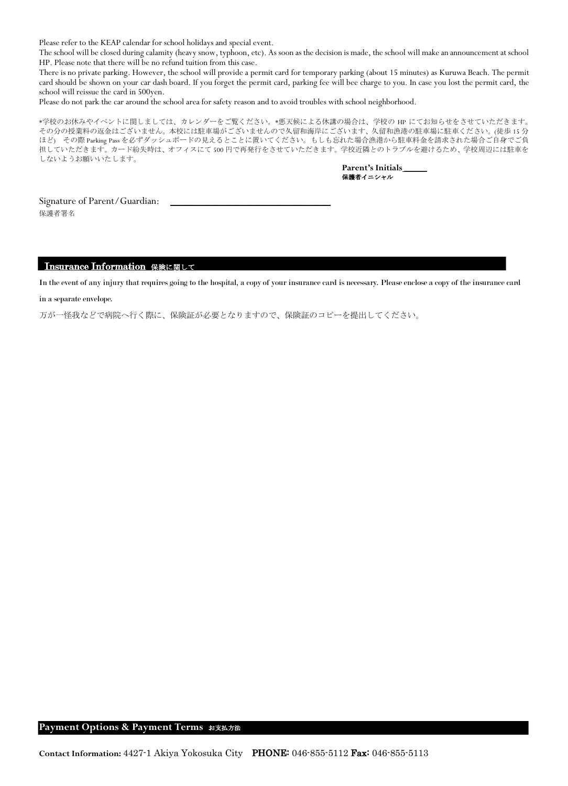Please refer to the KEAP calendar for school holidays and special event.

The school will be closed during calamity (heavy snow, typhoon, etc). As soon as the decision is made, the school will make an announcement at school HP. Please note that there will be no refund tuition from this case.

There is no private parking. However, the school will provide a permit card for temporary parking (about 15 minutes) as Kuruwa Beach. The permit card should be shown on your car dash board. If you forget the permit card, parking fee will bee charge to you. In case you lost the permit card, the school will reissue the card in 500yen.

Please do not park the car around the school area for safety reason and to avoid troubles with school neighborhood.

\*学校のお休みやイベントに関しましては、カレンダーをご覧ください。\*悪天候による休講の場合は、学校の HP にてお知らせをさせていただきます。 その分の授業料の返金はございません。本校には駐車場がございませんので久留和海岸にございます、久留和漁港の駐車場に駐車ください。(徒歩 15 分 ほど) その際 Parking Pass を必ずダッシュボードの見えるとことに置いてください。もしも忘れた場合漁港から駐車料金を請求された場合ご自身でご負 担していただきます。カード紛失時は、オフィスにて 500 円で再発行をさせていただきます。学校近隣とのトラブルを避けるため、学校周辺には駐車を しないようお願いいたします。

> **Parent's Initials \_\_\_\_\_** 保護者イニシャル

Signature of Parent/Guardian: 保護者署名

### Insurance Information 保険に関して

In the event of any injury that requires going to the hospital, a copy of your insurance card is necessary. Please enclose a copy of the insurance card

### in a separate envelope.

万が一怪我などで病院へ行く際に、保険証が必要となりますので、保険証のコピーを提出してください。

## **Payment Options & Payment Terms** お支払方法